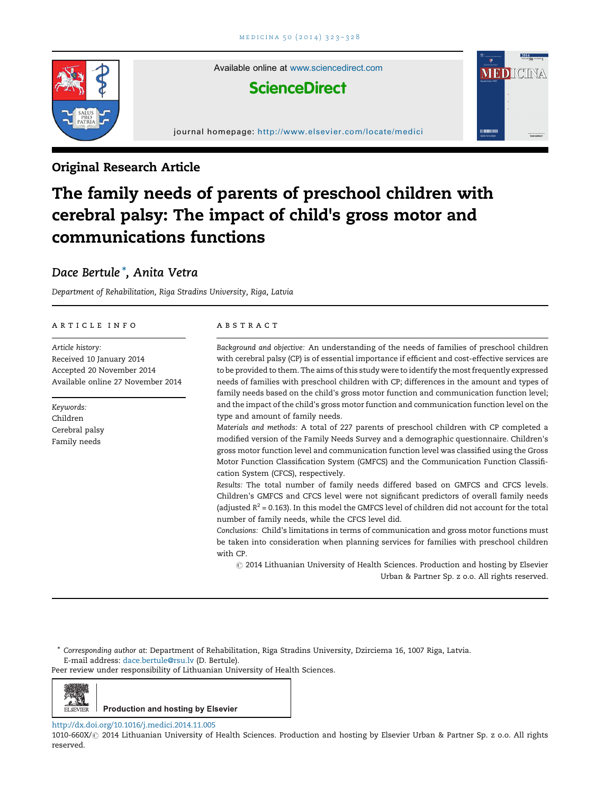

Available online at [www.sciencedirect.com](http://www.sciencedirect.com/science/journal/00000000)

# **ScienceDirect**

journal homepage: <http://www.elsevier.com/locate/medici>

# Original Research Article

# The family needs of parents of preschool children with cerebral palsy: The impact of child's gross motor and communications functions

# Dace Bertule \*, Anita Vetra

Department of Rehabilitation, Riga Stradins University, Riga, Latvia

#### a r t i c l e i n f o

Article history: Received 10 January 2014 Accepted 20 November 2014 Available online 27 November 2014

Keywords: Children Cerebral palsy Family needs

#### A B S T R A C T

Background and objective: An understanding of the needs of families of preschool children with cerebral palsy (CP) is of essential importance if efficient and cost-effective services are to be provided to them. The aims of this study were to identify the most frequently expressed needs of families with preschool children with CP; differences in the amount and types of family needs based on the child's gross motor function and communication function level; and the impact of the child's gross motor function and communication function level on the type and amount of family needs.

**MEDICINA** 

Materials and methods: A total of 227 parents of preschool children with CP completed a modified version of the Family Needs Survey and a demographic questionnaire. Children's gross motor function level and communication function level was classified using the Gross Motor Function Classification System (GMFCS) and the Communication Function Classification System (CFCS), respectively.

Results: The total number of family needs differed based on GMFCS and CFCS levels. Children's GMFCS and CFCS level were not significant predictors of overall family needs (adjusted  $R^2 = 0.163$ ). In this model the GMFCS level of children did not account for the total number of family needs, while the CFCS level did.

Conclusions: Child's limitations in terms of communication and gross motor functions must be taken into consideration when planning services for families with preschool children with CP.

 $\odot$  2014 Lithuanian University of Health Sciences. Production and hosting by Elsevier Urban & Partner Sp. z o.o. All rights reserved.

\* Corresponding author at: Department of Rehabilitation, Riga Stradins University, Dzirciema 16, 1007 Riga, Latvia. E-mail address: [dace.bertule@rsu.lv](mailto:dace.bertule@rsu.lv) (D. Bertule).

Peer review under responsibility of Lithuanian University of Health Sciences.



# **Production and hosting by Elsevier**

#### <http://dx.doi.org/10.1016/j.medici.2014.11.005>

1010-660X/ $\odot$  2014 Lithuanian University of Health Sciences. Production and hosting by Elsevier Urban & Partner Sp. z o.o. All rights reserved.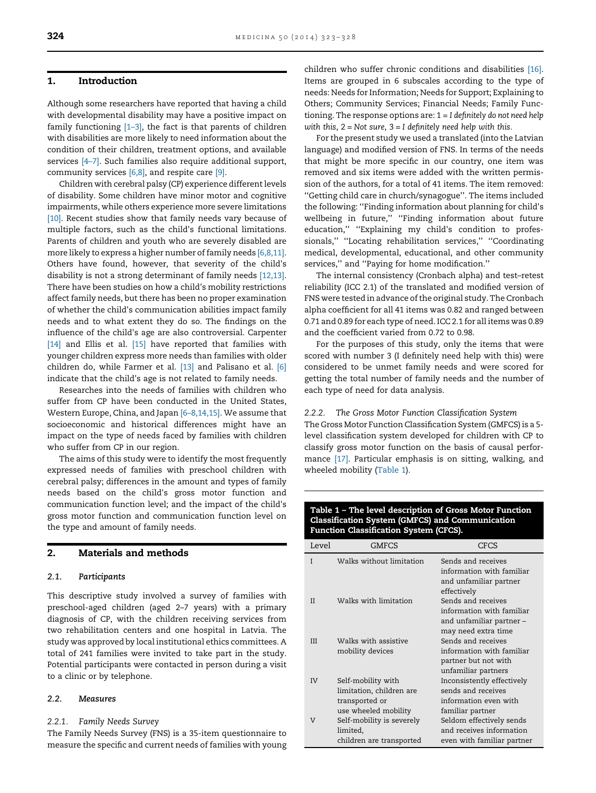# <span id="page-1-0"></span>1. Introduction

Although some researchers have reported that having a child with developmental disability may have a positive impact on family functioning  $[1-3]$ , the fact is that parents of children with disabilities are more likely to need information about the condition of their children, treatment options, and available services [4–[7\]](#page-5-0). Such families also require additional support, community services [\[6,8\],](#page-5-0) and respite care [\[9\].](#page-5-0)

Children with cerebral palsy (CP) experience different levels of disability. Some children have minor motor and cognitive impairments, while others experience more severe limitations [\[10\]](#page-5-0). Recent studies show that family needs vary because of multiple factors, such as the child's functional limitations. Parents of children and youth who are severely disabled are more likely to express a higher number of family needs [\[6,8,11\]](#page-5-0). Others have found, however, that severity of the child's disability is not a strong determinant of family needs [\[12,13\]](#page-5-0). There have been studies on how a child's mobility restrictions affect family needs, but there has been no proper examination of whether the child's communication abilities impact family needs and to what extent they do so. The findings on the influence of the child's age are also controversial. Carpenter [\[14\]](#page-5-0) and Ellis et al. [\[15\]](#page-5-0) have reported that families with younger children express more needs than families with older children do, while Farmer et al. [\[13\]](#page-5-0) and Palisano et al. [\[6\]](#page-5-0) indicate that the child's age is not related to family needs.

Researches into the needs of families with children who suffer from CP have been conducted in the United States, Western Europe, China, and Japan [6–[8,14,15\].](#page-5-0) We assume that socioeconomic and historical differences might have an impact on the type of needs faced by families with children who suffer from CP in our region.

The aims of this study were to identify the most frequently expressed needs of families with preschool children with cerebral palsy; differences in the amount and types of family needs based on the child's gross motor function and communication function level; and the impact of the child's gross motor function and communication function level on the type and amount of family needs.

# 2. Materials and methods

#### 2.1. Participants

This descriptive study involved a survey of families with preschool-aged children (aged 2–7 years) with a primary diagnosis of CP, with the children receiving services from two rehabilitation centers and one hospital in Latvia. The study was approved by local institutional ethics committees. A total of 241 families were invited to take part in the study. Potential participants were contacted in person during a visit to a clinic or by telephone.

#### 2.2. Measures

# 2.2.1. Family Needs Survey

The Family Needs Survey (FNS) is a 35-item questionnaire to measure the specific and current needs of families with young children who suffer chronic conditions and disabilities [\[16\]](#page-5-0). Items are grouped in 6 subscales according to the type of needs: Needs for Information; Needs for Support; Explaining to Others; Community Services; Financial Needs; Family Functioning. The response options are:  $1 = I$  definitely do not need help with this,  $2 = Not sure$ ,  $3 = I$  definitely need help with this.

For the present study we used a translated (into the Latvian language) and modified version of FNS. In terms of the needs that might be more specific in our country, one item was removed and six items were added with the written permission of the authors, for a total of 41 items. The item removed: ''Getting child care in church/synagogue''. The items included the following: ''Finding information about planning for child's wellbeing in future," "Finding information about future education,'' ''Explaining my child's condition to professionals,'' ''Locating rehabilitation services,'' ''Coordinating medical, developmental, educational, and other community services,'' and ''Paying for home modification.''

The internal consistency (Cronbach alpha) and test–retest reliability (ICC 2.1) of the translated and modified version of FNS were tested in advance of the original study. The Cronbach alpha coefficient for all 41 items was 0.82 and ranged between 0.71 and 0.89 for each type of need. ICC 2.1 for all items was 0.89 and the coefficient varied from 0.72 to 0.98.

For the purposes of this study, only the items that were scored with number 3 (I definitely need help with this) were considered to be unmet family needs and were scored for getting the total number of family needs and the number of each type of need for data analysis.

#### 2.2.2. The Gross Motor Function Classification System

The Gross Motor Function Classification System (GMFCS) is a 5 level classification system developed for children with CP to classify gross motor function on the basis of causal performance [\[17\]](#page-5-0). Particular emphasis is on sitting, walking, and wheeled mobility (Table 1).

# Table 1 – The level description of Gross Motor Function Classification System (GMFCS) and Communication Function Classification System (CFCS).

| Level      | GMFCS                                                                                    | CFCS                                                                                               |
|------------|------------------------------------------------------------------------------------------|----------------------------------------------------------------------------------------------------|
| I          | Walks without limitation                                                                 | Sends and receives<br>information with familiar<br>and unfamiliar partner<br>effectively           |
| Н          | Walks with limitation                                                                    | Sends and receives<br>information with familiar<br>and unfamiliar partner -<br>may need extra time |
| <b>III</b> | Walks with assistive<br>mobility devices                                                 | Sends and receives<br>information with familiar<br>partner but not with<br>unfamiliar partners     |
| IV         | Self-mobility with<br>limitation, children are<br>transported or<br>use wheeled mobility | Inconsistently effectively<br>sends and receives<br>information even with<br>familiar partner      |
| V          | Self-mobility is severely<br>limited,<br>children are transported                        | Seldom effectively sends<br>and receives information<br>even with familiar partner                 |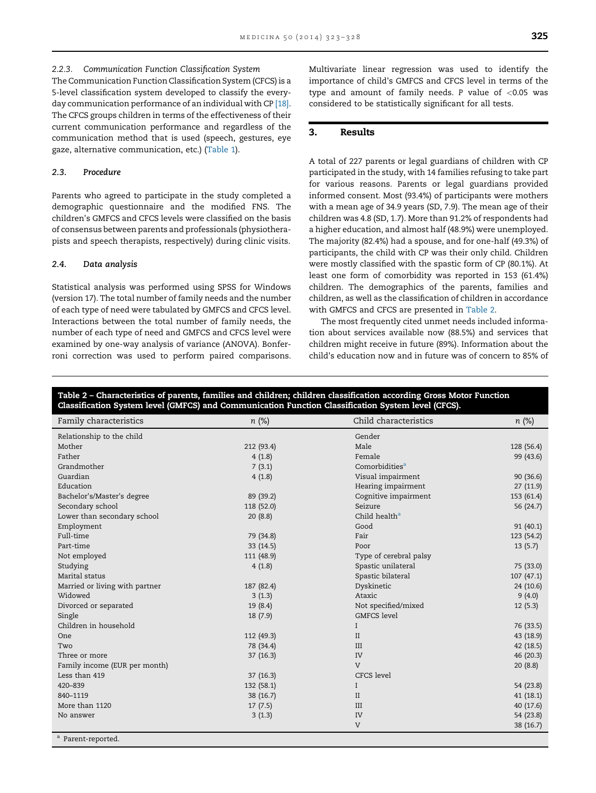#### 2.2.3. Communication Function Classification System

The Communication Function Classification System (CFCS) is a 5-level classification system developed to classify the everyday communication performance of an individual with CP [\[18\].](#page-5-0) The CFCS groups children in terms of the effectiveness of their current communication performance and regardless of the communication method that is used (speech, gestures, eye gaze, alternative communication, etc.) ([Table](#page-1-0) 1).

# 2.3. Procedure

Parents who agreed to participate in the study completed a demographic questionnaire and the modified FNS. The children's GMFCS and CFCS levels were classified on the basis of consensus between parents and professionals (physiotherapists and speech therapists, respectively) during clinic visits.

# 2.4. Data analysis

Statistical analysis was performed using SPSS for Windows (version 17). The total number of family needs and the number of each type of need were tabulated by GMFCS and CFCS level. Interactions between the total number of family needs, the number of each type of need and GMFCS and CFCS level were examined by one-way analysis of variance (ANOVA). Bonferroni correction was used to perform paired comparisons. Multivariate linear regression was used to identify the importance of child's GMFCS and CFCS level in terms of the type and amount of family needs. P value of  $< 0.05$  was considered to be statistically significant for all tests.

# 3. Results

A total of 227 parents or legal guardians of children with CP participated in the study, with 14 families refusing to take part for various reasons. Parents or legal guardians provided informed consent. Most (93.4%) of participants were mothers with a mean age of 34.9 years (SD, 7.9). The mean age of their children was 4.8 (SD, 1.7). More than 91.2% of respondents had a higher education, and almost half (48.9%) were unemployed. The majority (82.4%) had a spouse, and for one-half (49.3%) of participants, the child with CP was their only child. Children were mostly classified with the spastic form of CP (80.1%). At least one form of comorbidity was reported in 153 (61.4%) children. The demographics of the parents, families and children, as well as the classification of children in accordance with GMFCS and CFCS are presented in Table 2.

The most frequently cited unmet needs included information about services available now (88.5%) and services that children might receive in future (89%). Information about the child's education now and in future was of concern to 85% of

## Table 2 – Characteristics of parents, families and children; children classification according Gross Motor Function Classification System level (GMFCS) and Communication Function Classification System level (CFCS).

| Family characteristics         | $n$ (%)    | Child characteristics      | $n$ (%)    |
|--------------------------------|------------|----------------------------|------------|
| Relationship to the child      |            | Gender                     |            |
| Mother                         | 212 (93.4) | Male                       | 128 (56.4) |
| Father                         | 4(1.8)     | Female                     | 99 (43.6)  |
| Grandmother                    | 7(3.1)     | Comorbidities <sup>a</sup> |            |
| Guardian                       | 4(1.8)     | Visual impairment          | 90(36.6)   |
| Education                      |            | Hearing impairment         | 27 (11.9)  |
| Bachelor's/Master's degree     | 89 (39.2)  | Cognitive impairment       | 153 (61.4) |
| Secondary school               | 118 (52.0) | Seizure                    | 56 (24.7)  |
| Lower than secondary school    | 20(8.8)    | Child health <sup>a</sup>  |            |
| Employment                     |            | Good                       | 91(40.1)   |
| Full-time                      | 79 (34.8)  | Fair                       | 123 (54.2) |
| Part-time                      | 33 (14.5)  | Poor                       | 13(5.7)    |
| Not employed                   | 111 (48.9) | Type of cerebral palsy     |            |
| Studying                       | 4(1.8)     | Spastic unilateral         | 75 (33.0)  |
| Marital status                 |            | Spastic bilateral          | 107(47.1)  |
| Married or living with partner | 187 (82.4) | Dyskinetic                 | 24 (10.6)  |
| Widowed                        | 3(1.3)     | Ataxic                     | 9(4.0)     |
| Divorced or separated          | 19 (8.4)   | Not specified/mixed        | 12(5.3)    |
| Single                         | 18 (7.9)   | <b>GMFCS</b> level         |            |
| Children in household          |            | I                          | 76 (33.5)  |
| One                            | 112 (49.3) | $\rm II$                   | 43 (18.9)  |
| Two                            | 78 (34.4)  | III                        | 42 (18.5)  |
| Three or more                  | 37(16.3)   | IV                         | 46 (20.3)  |
| Family income (EUR per month)  |            | $\mathbf{V}$               | 20(8.8)    |
| Less than 419                  | 37(16.3)   | CFCS level                 |            |
| 420-839                        | 132 (58.1) | I                          | 54 (23.8)  |
| 840-1119                       | 38 (16.7)  | $\mathbf{I}$               | 41(18.1)   |
| More than 1120                 | 17(7.5)    | III                        | 40 (17.6)  |
| No answer                      | 3(1.3)     | IV                         | 54 (23.8)  |
|                                |            | V                          | 38 (16.7)  |
| <sup>a</sup> Parent-reported.  |            |                            |            |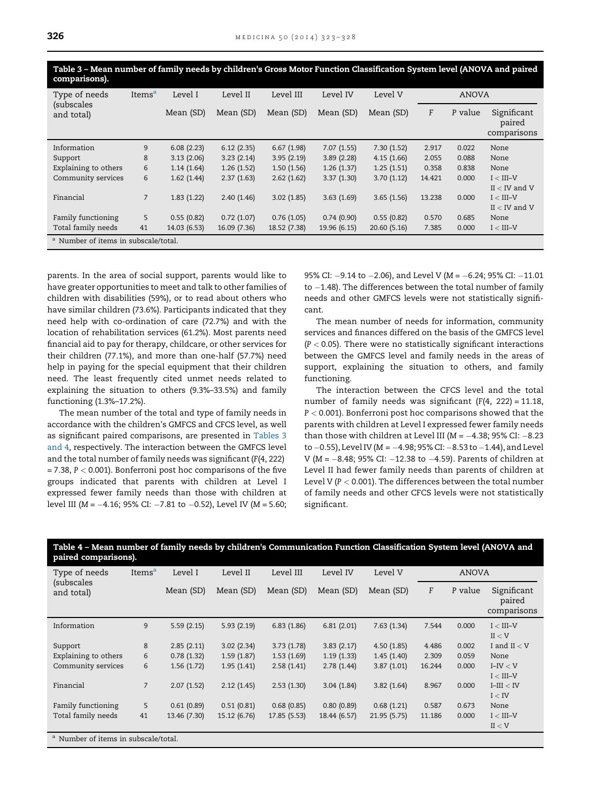Table 3 – Mean number of family needs by children's Gross Motor Function Classification System level (ANOVA and paired comparisons). Type of needs (subscales and total) Items<sup>a</sup> Level I Level II Level III Level IV Level V ANOVA Mean (SD) Mean (SD) Mean (SD) Mean (SD) Mean (SD) F P value Significant paired

|                                                 |                |              |              |              |              |              |        |       | paired<br>comparisons |
|-------------------------------------------------|----------------|--------------|--------------|--------------|--------------|--------------|--------|-------|-----------------------|
| Information                                     | 9              | 6.08(2.23)   | 6.12(2.35)   | 6.67(1.98)   | 7.07(1.55)   | 7.30(1.52)   | 2.917  | 0.022 | None                  |
| Support                                         | 8              | 3.13(2.06)   | 3.23(2.14)   | 3.95(2.19)   | 3.89(2.28)   | 4.15(1.66)   | 2.055  | 0.088 | None                  |
| Explaining to others                            | 6              | 1.14(1.64)   | 1.26(1.52)   | 1.50(1.56)   | 1.26(1.37)   | 1.25(1.51)   | 0.358  | 0.838 | None                  |
| Community services                              | 6              | 1.62(1.44)   | 2.37(1.63)   | 2.62(1.62)   | 3.37(1.30)   | 3.70(1.12)   | 14.421 | 0.000 | $I < III-V$           |
|                                                 |                |              |              |              |              |              |        |       | $II < IV$ and V       |
| Financial                                       | $\overline{7}$ | 1.83(1.22)   | 2.40(1.46)   | 3.02(1.85)   | 3.63(1.69)   | 3.65(1.56)   | 13.238 | 0.000 | $I < III-V$           |
|                                                 |                |              |              |              |              |              |        |       | $II < IV$ and V       |
| Family functioning                              | 5              | 0.55(0.82)   | 0.72(1.07)   | 0.76(1.05)   | 0.74(0.90)   | 0.55(0.82)   | 0.570  | 0.685 | None                  |
| Total family needs                              | 41             | 14.03 (6.53) | 16.09 (7.36) | 18.52 (7.38) | 19.96 (6.15) | 20.60 (5.16) | 7.385  | 0.000 | $I < III-V$           |
| <sup>a</sup> Number of items in subscale/total. |                |              |              |              |              |              |        |       |                       |

parents. In the area of social support, parents would like to have greater opportunities to meet and talk to other families of children with disabilities (59%), or to read about others who have similar children (73.6%). Participants indicated that they need help with co-ordination of care (72.7%) and with the location of rehabilitation services (61.2%). Most parents need financial aid to pay for therapy, childcare, or other services for their children (77.1%), and more than one-half (57.7%) need help in paying for the special equipment that their children need. The least frequently cited unmet needs related to explaining the situation to others (9.3%–33.5%) and family functioning (1.3%–17.2%).

The mean number of the total and type of family needs in accordance with the children's GMFCS and CFCS level, as well as significant paired comparisons, are presented in Tables 3 and 4, respectively. The interaction between the GMFCS level and the total number of family needs was significant (F(4, 222)  $= 7.38$ ,  $P < 0.001$ ). Bonferroni post hoc comparisons of the five groups indicated that parents with children at Level I expressed fewer family needs than those with children at level III ( $M = -4.16$ ; 95% CI:  $-7.81$  to  $-0.52$ ), Level IV ( $M = 5.60$ ; 95% CI:  $-9.14$  to  $-2.06$ ), and Level V (M =  $-6.24$ ; 95% CI:  $-11.01$ to  $-1.48$ ). The differences between the total number of family needs and other GMFCS levels were not statistically significant.

The mean number of needs for information, community services and finances differed on the basis of the GMFCS level  $(P < 0.05)$ . There were no statistically significant interactions between the GMFCS level and family needs in the areas of support, explaining the situation to others, and family functioning.

The interaction between the CFCS level and the total number of family needs was significant  $(F(4, 222) = 11.18$ , P < 0.001). Bonferroni post hoc comparisons showed that the parents with children at Level I expressed fewer family needs than those with children at Level III ( $M = -4.38$ ; 95% CI: -8.23 to  $-0.55$ ), Level IV (M =  $-4.98$ ; 95% CI:  $-8.53$  to  $-1.44$ ), and Level V ( $M = -8.48$ ; 95% CI:  $-12.38$  to  $-4.59$ ). Parents of children at Level II had fewer family needs than parents of children at Level V ( $P < 0.001$ ). The differences between the total number of family needs and other CFCS levels were not statistically significant.

| paired comparisons).                            |                    |              |              |              |              |              |              |         |                                      |
|-------------------------------------------------|--------------------|--------------|--------------|--------------|--------------|--------------|--------------|---------|--------------------------------------|
| Type of needs                                   | Items <sup>a</sup> | Level I      | Level II     | Level III    | Level IV     | Level V      | <b>ANOVA</b> |         |                                      |
| (subscales<br>and total)                        |                    | Mean (SD)    | Mean (SD)    | Mean (SD)    | Mean (SD)    | Mean (SD)    | F            | P value | Significant<br>paired<br>comparisons |
| Information                                     | 9                  | 5.59(2.15)   | 5.93(2.19)   | 6.83(1.86)   | 6.81(2.01)   | 7.63(1.34)   | 7.544        | 0.000   | $I < III-V$                          |
|                                                 |                    |              |              |              |              |              |              |         | II < V                               |
| Support                                         | 8                  | 2.85(2.11)   | 3.02(2.34)   | 3.73(1.78)   | 3.83(2.17)   | 4.50(1.85)   | 4.486        | 0.002   | I and $II < V$                       |
| Explaining to others                            | 6                  | 0.78(1.32)   | 1.59(1.87)   | 1.53(1.69)   | 1.19(1.33)   | 1.45(1.40)   | 2.309        | 0.059   | None                                 |
| Community services                              | 6                  | 1.56(1.72)   | 1.95(1.41)   | 2.58(1.41)   | 2.78(1.44)   | 3.87(1.01)   | 16.244       | 0.000   | $I-IV < V$                           |
|                                                 |                    |              |              |              |              |              |              |         | $I < III-V$                          |
| Financial                                       | $\overline{7}$     | 2.07(1.52)   | 2.12(1.45)   | 2.53(1.30)   | 3.04(1.84)   | 3.82(1.64)   | 8.967        | 0.000   | $I-III < IV$                         |
|                                                 |                    |              |              |              |              |              |              |         | I < IV                               |
| Family functioning                              | 5                  | 0.61(0.89)   | 0.51(0.81)   | 0.68(0.85)   | 0.80(0.89)   | 0.68(1.21)   | 0.587        | 0.673   | None                                 |
| Total family needs                              | 41                 | 13.46 (7.30) | 15.12 (6.76) | 17.85 (5.53) | 18.44 (6.57) | 21.95 (5.75) | 11.186       | 0.000   | $I < III-V$                          |
|                                                 |                    |              |              |              |              |              |              |         | II < V                               |
| <sup>a</sup> Number of items in subscale/total. |                    |              |              |              |              |              |              |         |                                      |

Table 4 – Mean number of family needs by children's Communication Function Classification System level (ANOVA and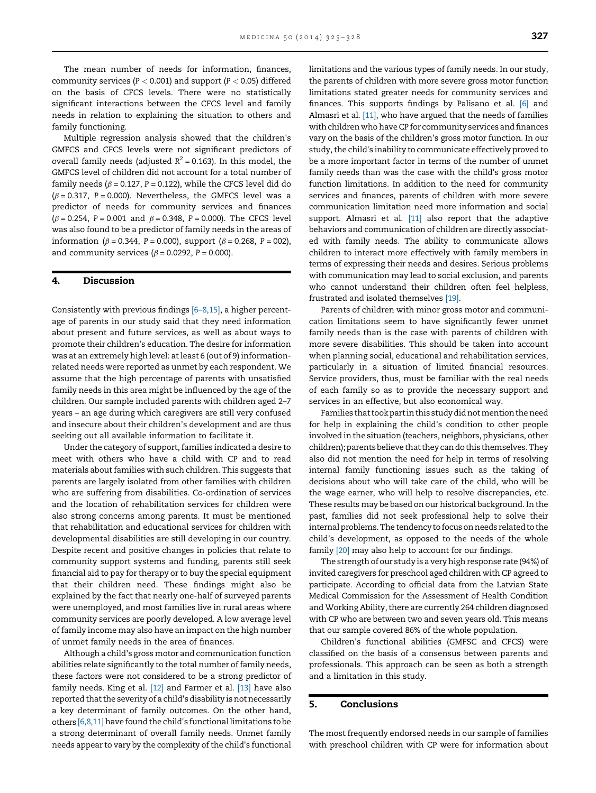The mean number of needs for information, finances, community services ( $P < 0.001$ ) and support ( $P < 0.05$ ) differed on the basis of CFCS levels. There were no statistically significant interactions between the CFCS level and family needs in relation to explaining the situation to others and family functioning.

Multiple regression analysis showed that the children's GMFCS and CFCS levels were not significant predictors of overall family needs (adjusted  $R^2 = 0.163$ ). In this model, the GMFCS level of children did not account for a total number of family needs ( $\beta$  = 0.127, P = 0.122), while the CFCS level did do  $(\beta = 0.317, P = 0.000)$ . Nevertheless, the GMFCS level was a predictor of needs for community services and finances  $(\beta = 0.254, P = 0.001 \text{ and } \beta = 0.348, P = 0.000)$ . The CFCS level was also found to be a predictor of family needs in the areas of information ( $\beta = 0.344$ , P = 0.000), support ( $\beta = 0.268$ , P = 002), and community services ( $\beta$  = 0.0292, P = 0.000).

# 4. Discussion

Consistently with previous findings [6–[8,15\]](#page-5-0), a higher percentage of parents in our study said that they need information about present and future services, as well as about ways to promote their children's education. The desire for information was at an extremely high level: at least 6 (out of 9) informationrelated needs were reported as unmet by each respondent. We assume that the high percentage of parents with unsatisfied family needs in this area might be influenced by the age of the children. Our sample included parents with children aged 2–7 years – an age during which caregivers are still very confused and insecure about their children's development and are thus seeking out all available information to facilitate it.

Under the category of support, families indicated a desire to meet with others who have a child with CP and to read materials about families with such children. This suggests that parents are largely isolated from other families with children who are suffering from disabilities. Co-ordination of services and the location of rehabilitation services for children were also strong concerns among parents. It must be mentioned that rehabilitation and educational services for children with developmental disabilities are still developing in our country. Despite recent and positive changes in policies that relate to community support systems and funding, parents still seek financial aid to pay for therapy or to buy the special equipment that their children need. These findings might also be explained by the fact that nearly one-half of surveyed parents were unemployed, and most families live in rural areas where community services are poorly developed. A low average level of family income may also have an impact on the high number of unmet family needs in the area of finances.

Although a child's gross motor and communication function abilities relate significantly to the total number of family needs, these factors were not considered to be a strong predictor of family needs. King et al. [\[12\]](#page-5-0) and Farmer et al. [\[13\]](#page-5-0) have also reported that the severity of a child's disability is not necessarily a key determinant of family outcomes. On the other hand, others [\[6,8,11\]](#page-5-0) have found the child's functional limitations to be a strong determinant of overall family needs. Unmet family needs appear to vary by the complexity of the child's functional limitations and the various types of family needs. In our study, the parents of children with more severe gross motor function limitations stated greater needs for community services and finances. This supports findings by Palisano et al. [\[6\]](#page-5-0) and Almasri et al. [\[11\]](#page-5-0), who have argued that the needs of families with children who have CP for community services and finances vary on the basis of the children's gross motor function. In our study, the child's inability to communicate effectively proved to be a more important factor in terms of the number of unmet family needs than was the case with the child's gross motor function limitations. In addition to the need for community services and finances, parents of children with more severe communication limitation need more information and social support. Almasri et al. [\[11\]](#page-5-0) also report that the adaptive behaviors and communication of children are directly associated with family needs. The ability to communicate allows children to interact more effectively with family members in terms of expressing their needs and desires. Serious problems with communication may lead to social exclusion, and parents who cannot understand their children often feel helpless, frustrated and isolated themselves [\[19\].](#page-5-0)

Parents of children with minor gross motor and communication limitations seem to have significantly fewer unmet family needs than is the case with parents of children with more severe disabilities. This should be taken into account when planning social, educational and rehabilitation services, particularly in a situation of limited financial resources. Service providers, thus, must be familiar with the real needs of each family so as to provide the necessary support and services in an effective, but also economical way.

Families that took part in this study did not mention the need for help in explaining the child's condition to other people involved in the situation (teachers, neighbors, physicians, other children);parentsbelieve thattheycandothis themselves.They also did not mention the need for help in terms of resolving internal family functioning issues such as the taking of decisions about who will take care of the child, who will be the wage earner, who will help to resolve discrepancies, etc. These results may be based on our historical background. In the past, families did not seek professional help to solve their internal problems. The tendency to focus on needs related to the child's development, as opposed to the needs of the whole family <a>[\[20\]](#page-5-0)</a> may also help to account for our findings.

The strength of our study is a very high response rate (94%) of invited caregivers for preschool aged children with CP agreed to participate. According to official data from the Latvian State Medical Commission for the Assessment of Health Condition and Working Ability, there are currently 264 children diagnosed with CP who are between two and seven years old. This means that our sample covered 86% of the whole population.

Children's functional abilities (GMFSC and CFCS) were classified on the basis of a consensus between parents and professionals. This approach can be seen as both a strength and a limitation in this study.

# 5. Conclusions

The most frequently endorsed needs in our sample of families with preschool children with CP were for information about